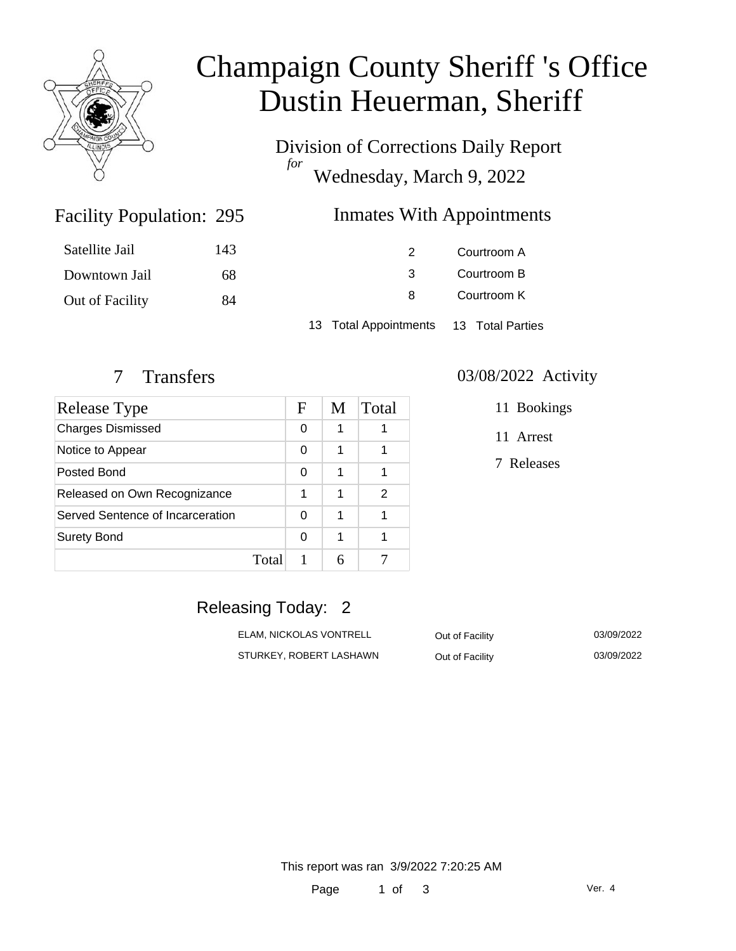

# Champaign County Sheriff 's Office Dustin Heuerman, Sheriff

Division of Corrections Daily Report *for* Wednesday, March 9, 2022

## Inmates With Appointments

| Satellite Jail  | 143 |                                        | Courtroom A |  |
|-----------------|-----|----------------------------------------|-------------|--|
| Downtown Jail   | 68  |                                        | Courtroom B |  |
| Out of Facility | 84  | 8                                      | Courtroom K |  |
|                 |     | 13 Total Appointments 13 Total Parties |             |  |

Facility Population: 295

| <b>Release Type</b>              |       | F | M | Total |
|----------------------------------|-------|---|---|-------|
| <b>Charges Dismissed</b>         |       | 0 | 1 |       |
| Notice to Appear                 |       | 0 | 1 |       |
| Posted Bond                      |       | 0 | 1 |       |
| Released on Own Recognizance     |       | 1 | 1 | 2     |
| Served Sentence of Incarceration |       | 0 | 1 |       |
| <b>Surety Bond</b>               |       | 0 | 1 |       |
|                                  | Total |   |   |       |

#### 7 Transfers 03/08/2022 Activity

11 Bookings

11 Arrest

7 Releases

# Releasing Today: 2

ELAM, NICKOLAS VONTRELL 
BLAM, NICKOLAS VONTRELL

Out of Facility

Out of Facility  $(0.3/0.9/2022)$ STURKEY, ROBERT LASHAWN Out of Facility 03/09/2022

This report was ran 3/9/2022 7:20:25 AM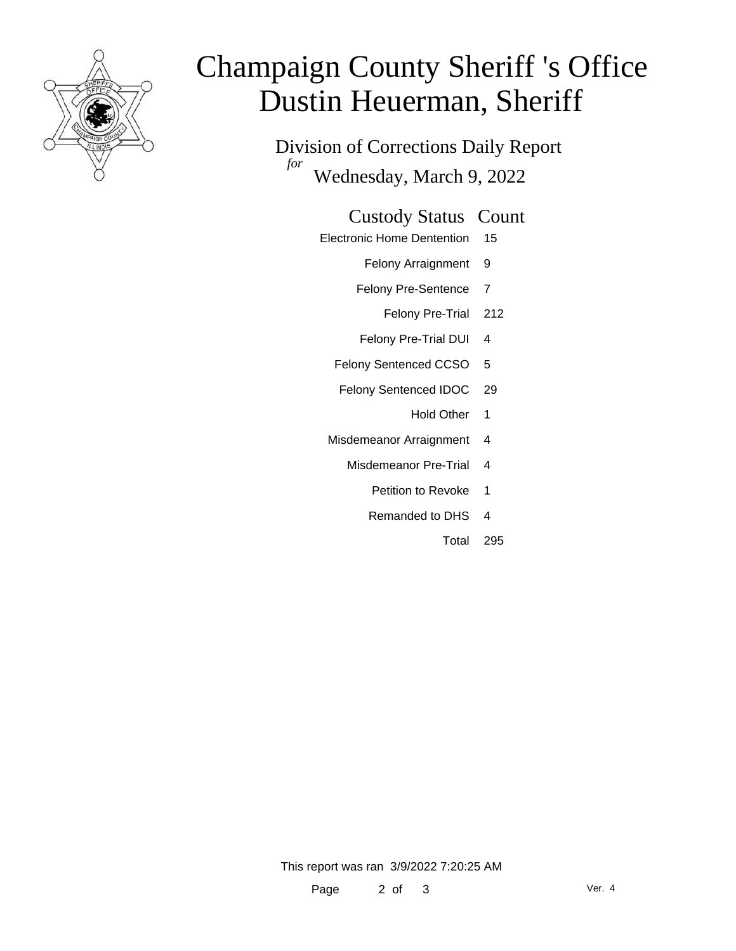

# Champaign County Sheriff 's Office Dustin Heuerman, Sheriff

Division of Corrections Daily Report *for* Wednesday, March 9, 2022

#### Custody Status Count

- Electronic Home Dentention 15
	- Felony Arraignment 9
	- Felony Pre-Sentence 7
		- Felony Pre-Trial 212
	- Felony Pre-Trial DUI 4
	- Felony Sentenced CCSO 5
	- Felony Sentenced IDOC 29
		- Hold Other 1
	- Misdemeanor Arraignment 4
		- Misdemeanor Pre-Trial 4
			- Petition to Revoke 1
			- Remanded to DHS 4
				- Total 295

This report was ran 3/9/2022 7:20:25 AM